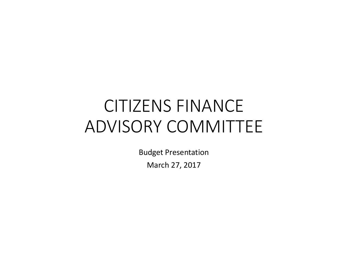# CITIZENS FINANCE ADVISORY COMMITTEE

**Budget Presentation** 

March 27, 2017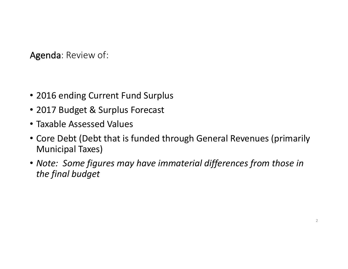Agenda: Review of:

- 2016 ending Current Fund Surplus
- 2017 Budget & Surplus Forecast
- Taxable Assessed Values
- Core Debt (Debt that is funded through General Revenues (primarily Municipal Taxes)
- Note: Some figures may have immaterial differences from those in *the final budget*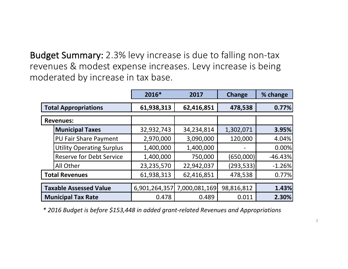Budget Summary: 2.3% levy increase is due to falling non-tax revenues & modest expense increases. Levy increase is being moderated by increase in tax base.

|                               |                                  | 2016*         | 2017          | <b>Change</b> | % change  |
|-------------------------------|----------------------------------|---------------|---------------|---------------|-----------|
| <b>Total Appropriations</b>   |                                  | 61,938,313    | 62,416,851    | 478,538       | 0.77%     |
| <b>Revenues:</b>              |                                  |               |               |               |           |
|                               | <b>Municipal Taxes</b>           | 32,932,743    | 34,234,814    | 1,302,071     | 3.95%     |
|                               | <b>PU Fair Share Payment</b>     | 2,970,000     | 3,090,000     | 120,000       | 4.04%     |
|                               | <b>Utility Operating Surplus</b> | 1,400,000     | 1,400,000     |               | 0.00%     |
|                               | <b>Reserve for Debt Service</b>  | 1,400,000     | 750,000       | (650,000)     | $-46.43%$ |
|                               | All Other                        | 23,235,570    | 22,942,037    | (293, 533)    | $-1.26%$  |
| <b>Total Revenues</b>         |                                  | 61,938,313    | 62,416,851    | 478,538       | 0.77%     |
| <b>Taxable Assessed Value</b> |                                  | 6,901,264,357 | 7,000,081,169 | 98,816,812    | 1.43%     |
| <b>Municipal Tax Rate</b>     |                                  | 0.478         | 0.489         | 0.011         | 2.30%     |

*\* 2016 Budget is before \$153,448 in added grant-related Revenues and Appropriations*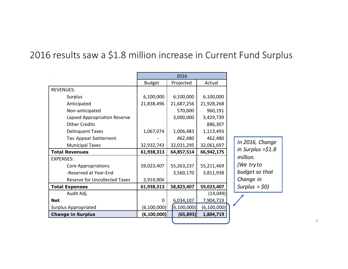### 2016 results saw a \$1.8 million increase in Current Fund Surplus

|                                      | 2016          |               |               |         |
|--------------------------------------|---------------|---------------|---------------|---------|
|                                      | <b>Budget</b> | Projected     | Actual        |         |
| <b>REVENUES:</b>                     |               |               |               |         |
| Surplus                              | 6,100,000     | 6,100,000     | 6,100,000     |         |
| Anticipated                          | 21,838,496    | 21,687,256    | 21,928,268    |         |
| Non-anticipated                      |               | 570,000       | 960,191       |         |
| Lapsed Appropriation Reserve         |               | 3,000,000     | 3,429,739     |         |
| <b>Other Credits</b>                 |               |               | 886,307       |         |
| <b>Delinquent Taxes</b>              | 1,067,074     | 1,006,483     | 1,113,493     |         |
| <b>Tax Appeal Settlement</b>         |               | 462,480       | 462,480       |         |
| <b>Municipal Taxes</b>               | 32,932,743    | 32,031,295    | 32,061,697    | In 201  |
| <b>Total Revenues</b>                | 61,938,313    | 64,857,514    | 66,942,175    | in Surµ |
| <b>EXPENSES:</b>                     |               |               |               | millior |
| <b>Core Appropriations</b>           | 59,023,407    | 55,263,237    | 55,211,469    | (We ti  |
| -Reserved at Year-End                |               | 3,560,170     | 3,811,938     | budge   |
| <b>Reserve for Uncollected Taxes</b> | 2,914,906     |               |               | Chang   |
| <b>Total Expenses</b>                | 61,938,313    | 58,823,407    | 59,023,407    | Surplu  |
| Audit Adj.                           |               |               | (14, 049)     |         |
| <b>Net</b>                           | 0             | 6,034,107     | 7,904,719     |         |
| <b>Surplus Appropriated</b>          | (6, 100, 000) | (6, 100, 000) | (6, 100, 000) |         |
| <b>Change in Surplus</b>             | (6, 100, 000) | (65, 893)     | 1,804,719     |         |
|                                      |               |               |               |         |

*16, Change in Surplus =\$1.8 million. (We try to budget so that Change in IS* = \$0)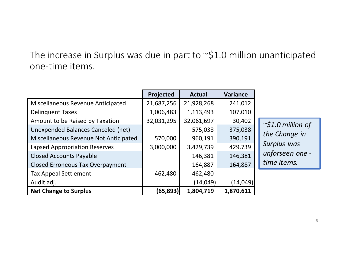### The increase in Surplus was due in part to  $\sim$ \$1.0 million unanticipated one-time items.

|                                         | Projected  | <b>Actual</b> | <b>Variance</b> |   |
|-----------------------------------------|------------|---------------|-----------------|---|
| Miscellaneous Revenue Anticipated       | 21,687,256 | 21,928,268    | 241,012         |   |
| <b>Delinquent Taxes</b>                 | 1,006,483  | 1,113,493     | 107,010         |   |
| Amount to be Raised by Taxation         | 32,031,295 | 32,061,697    | 30,402          |   |
| Unexpended Balances Canceled (net)      |            | 575,038       | 375,038         |   |
| Miscellaneous Revenue Not Anticipated   | 570,000    | 960,191       | 390,191         | L |
| <b>Lapsed Appropriation Reserves</b>    | 3,000,000  | 3,429,739     | 429,739         |   |
| <b>Closed Accounts Payable</b>          |            | 146,381       | 146,381         | ι |
| <b>Closed Erroneous Tax Overpayment</b> |            | 164,887       | 164,887         |   |
| <b>Tax Appeal Settlement</b>            | 462,480    | 462,480       |                 |   |
| Audit adj.                              |            | (14, 049)     | (14, 049)       |   |
| <b>Net Change to Surplus</b>            | (65,893)   | 1,804,719     | 1,870,611       |   |

*~\$1.0 million of*  the Change in *Surplus was unforseen one time items.*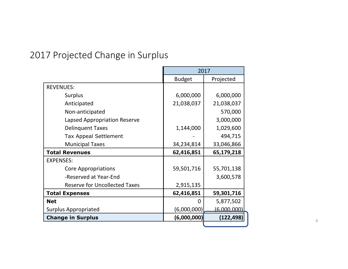## 2017 Projected Change in Surplus

|                                      | 2017          |             |
|--------------------------------------|---------------|-------------|
|                                      | <b>Budget</b> | Projected   |
| <b>REVENUES:</b>                     |               |             |
| <b>Surplus</b>                       | 6,000,000     | 6,000,000   |
| Anticipated                          | 21,038,037    | 21,038,037  |
| Non-anticipated                      |               | 570,000     |
| Lapsed Appropriation Reserve         |               | 3,000,000   |
| <b>Delinquent Taxes</b>              | 1,144,000     | 1,029,600   |
| <b>Tax Appeal Settlement</b>         |               | 494,715     |
| <b>Municipal Taxes</b>               | 34,234,814    | 33,046,866  |
| <b>Total Revenues</b>                | 62,416,851    | 65,179,218  |
| <b>EXPENSES:</b>                     |               |             |
| <b>Core Appropriations</b>           | 59,501,716    | 55,701,138  |
| -Reserved at Year-End                |               | 3,600,578   |
| <b>Reserve for Uncollected Taxes</b> | 2,915,135     |             |
| <b>Total Expenses</b>                | 62,416,851    | 59,301,716  |
| <b>Net</b>                           | <sup>0</sup>  | 5,877,502   |
| <b>Surplus Appropriated</b>          | (6,000,000)   | (6.000.000) |
| <b>Change in Surplus</b>             | (6,000,000)   | (122, 498)  |
|                                      |               |             |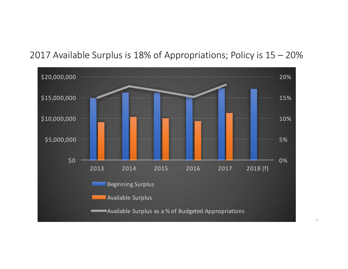#### 2017 Available Surplus is 18% of Appropriations; Policy is  $15 - 20%$

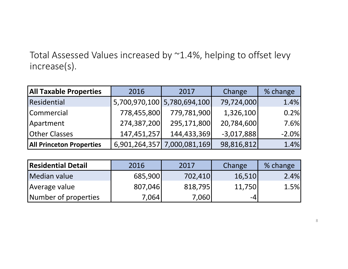Total Assessed Values increased by ~1.4%, helping to offset levy increase(s).

| <b>All Taxable Properties</b>   | 2016          | 2017                        | Change       | % change |
|---------------------------------|---------------|-----------------------------|--------------|----------|
| Residential                     |               | 5,700,970,100 5,780,694,100 | 79,724,000   | 1.4%     |
| Commercial                      | 778,455,800   | 779,781,900                 | 1,326,100    | 0.2%     |
| Apartment                       | 274,387,200   | 295,171,800                 | 20,784,600   | 7.6%     |
| <b>Other Classes</b>            | 147,451,257   | 144,433,369                 | $-3,017,888$ | $-2.0%$  |
| <b>All Princeton Properties</b> | 6,901,264,357 | 7,000,081,169               | 98,816,812   | 1.4%     |

| <b>Residential Detail</b> | 2016    | 2017    | Change | % change |
|---------------------------|---------|---------|--------|----------|
| Median value              | 685,900 | 702,410 | 16,510 | 2.4%     |
| Average value             | 807,046 | 818,795 | 11,750 | 1.5%     |
| Number of properties      | 7,064   | 7,0601  | -4     |          |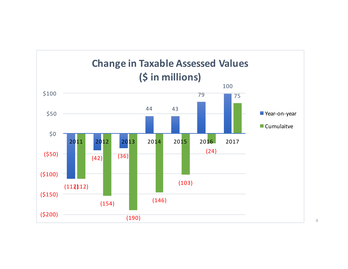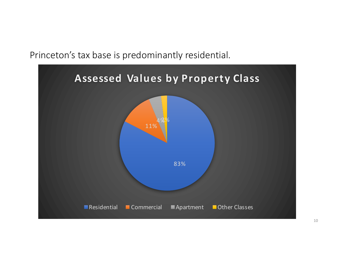Princeton's tax base is predominantly residential.